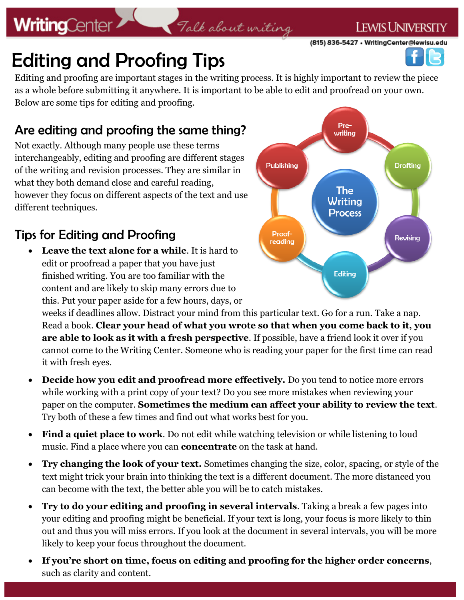# **WritingCenter**

# Talk about writing

(815) 836-5427 • WritingCenter@lewisu.edu

**LEWIS UNIVERSITY** 

# Editing and Proofing Tips

Editing and proofing are important stages in the writing process. It is highly important to review the piece as a whole before submitting it anywhere. It is important to be able to edit and proofread on your own. Below are some tips for editing and proofing.

## Are editing and proofing the same thing?

Not exactly. Although many people use these terms interchangeably, editing and proofing are different stages of the writing and revision processes. They are similar in what they both demand close and careful reading, however they focus on different aspects of the text and use different techniques.

## Tips for Editing and Proofing

 **Leave the text alone for a while**. It is hard to edit or proofread a paper that you have just finished writing. You are too familiar with the content and are likely to skip many errors due to this. Put your paper aside for a few hours, days, or

Prewritina **Publishing Drafting The** Writing **Process** Proof-Revising reading Editing

weeks if deadlines allow. Distract your mind from this particular text. Go for a run. Take a nap. Read a book. **Clear your head of what you wrote so that when you come back to it, you are able to look as it with a fresh perspective**. If possible, have a friend look it over if you cannot come to the Writing Center. Someone who is reading your paper for the first time can read it with fresh eyes.

- Decide how you edit and proofread more effectively. Do you tend to notice more errors while working with a print copy of your text? Do you see more mistakes when reviewing your paper on the computer. **Sometimes the medium can affect your ability to review the text**. Try both of these a few times and find out what works best for you.
- **Find a quiet place to work**. Do not edit while watching television or while listening to loud music. Find a place where you can **concentrate** on the task at hand.
- **Try changing the look of your text.** Sometimes changing the size, color, spacing, or style of the text might trick your brain into thinking the text is a different document. The more distanced you can become with the text, the better able you will be to catch mistakes.
- **Try to do your editing and proofing in several intervals**. Taking a break a few pages into your editing and proofing might be beneficial. If your text is long, your focus is more likely to thin out and thus you will miss errors. If you look at the document in several intervals, you will be more likely to keep your focus throughout the document.
- **If you're short on time, focus on editing and proofing for the higher order concerns**, such as clarity and content.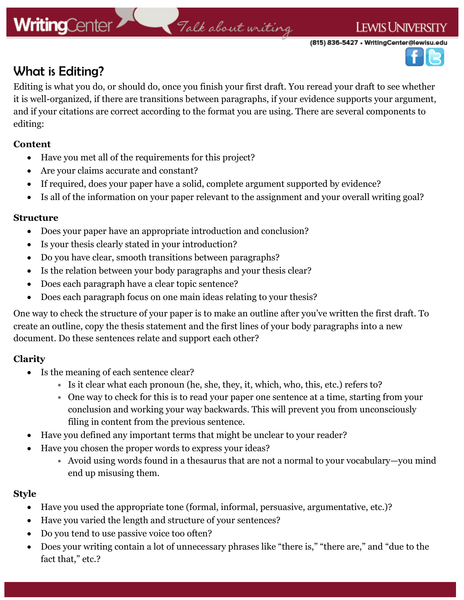# **WritingCenter**

# Talk about writing

(815) 836-5427 • WritingCenter@lewisu.edu



### What is Editing?

Editing is what you do, or should do, once you finish your first draft. You reread your draft to see whether it is well-organized, if there are transitions between paragraphs, if your evidence supports your argument, and if your citations are correct according to the format you are using. There are several components to editing:

#### **Content**

- Have you met all of the requirements for this project?
- Are your claims accurate and constant?
- If required, does your paper have a solid, complete argument supported by evidence?
- Is all of the information on your paper relevant to the assignment and your overall writing goal?

#### **Structure**

- Does your paper have an appropriate introduction and conclusion?
- Is your thesis clearly stated in your introduction?
- Do you have clear, smooth transitions between paragraphs?
- Is the relation between your body paragraphs and your thesis clear?
- Does each paragraph have a clear topic sentence?
- Does each paragraph focus on one main ideas relating to your thesis?

One way to check the structure of your paper is to make an outline after you've written the first draft. To create an outline, copy the thesis statement and the first lines of your body paragraphs into a new document. Do these sentences relate and support each other?

### **Clarity**

- Is the meaning of each sentence clear?
	- Is it clear what each pronoun (he, she, they, it, which, who, this, etc.) refers to?
	- One way to check for this is to read your paper one sentence at a time, starting from your conclusion and working your way backwards. This will prevent you from unconsciously filing in content from the previous sentence.
- Have you defined any important terms that might be unclear to your reader?
- Have you chosen the proper words to express your ideas?
	- Avoid using words found in a thesaurus that are not a normal to your vocabulary—you mind end up misusing them.

### **Style**

- Have you used the appropriate tone (formal, informal, persuasive, argumentative, etc.)?
- Have you varied the length and structure of your sentences?
- Do you tend to use passive voice too often?
- Does your writing contain a lot of unnecessary phrases like "there is," "there are," and "due to the fact that," etc.?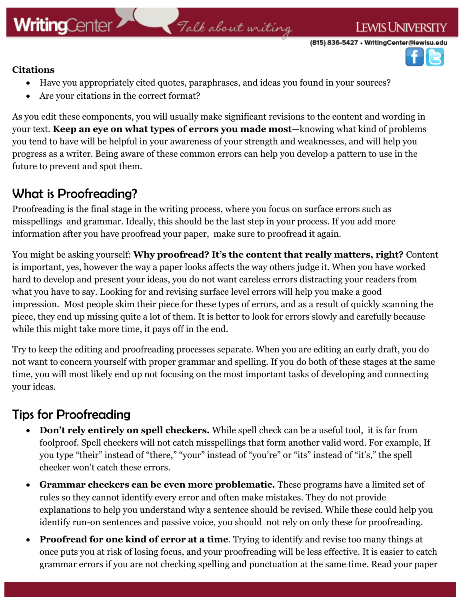# Talk about writing

(815) 836-5427 • WritingCenter@lewisu.edu

**LEWIS UNIVERSITY** 



#### **Citations**

- Have you appropriately cited quotes, paraphrases, and ideas you found in your sources?
- Are your citations in the correct format?

As you edit these components, you will usually make significant revisions to the content and wording in your text. **Keep an eye on what types of errors you made most**—knowing what kind of problems you tend to have will be helpful in your awareness of your strength and weaknesses, and will help you progress as a writer. Being aware of these common errors can help you develop a pattern to use in the future to prevent and spot them.

### What is Proofreading?

Proofreading is the final stage in the writing process, where you focus on surface errors such as misspellings and grammar. Ideally, this should be the last step in your process. If you add more information after you have proofread your paper, make sure to proofread it again.

You might be asking yourself: **Why proofread? It's the content that really matters, right?** Content is important, yes, however the way a paper looks affects the way others judge it. When you have worked hard to develop and present your ideas, you do not want careless errors distracting your readers from what you have to say. Looking for and revising surface level errors will help you make a good impression. Most people skim their piece for these types of errors, and as a result of quickly scanning the piece, they end up missing quite a lot of them. It is better to look for errors slowly and carefully because while this might take more time, it pays off in the end.

Try to keep the editing and proofreading processes separate. When you are editing an early draft, you do not want to concern yourself with proper grammar and spelling. If you do both of these stages at the same time, you will most likely end up not focusing on the most important tasks of developing and connecting your ideas.

### Tips for Proofreading

- **Don't rely entirely on spell checkers.** While spell check can be a useful tool, it is far from foolproof. Spell checkers will not catch misspellings that form another valid word. For example, If you type "their" instead of "there," "your" instead of "you're" or "its" instead of "it's," the spell checker won't catch these errors.
- **Grammar checkers can be even more problematic.** These programs have a limited set of rules so they cannot identify every error and often make mistakes. They do not provide explanations to help you understand why a sentence should be revised. While these could help you identify run-on sentences and passive voice, you should not rely on only these for proofreading.
- **Proofread for one kind of error at a time**. Trying to identify and revise too many things at once puts you at risk of losing focus, and your proofreading will be less effective. It is easier to catch grammar errors if you are not checking spelling and punctuation at the same time. Read your paper